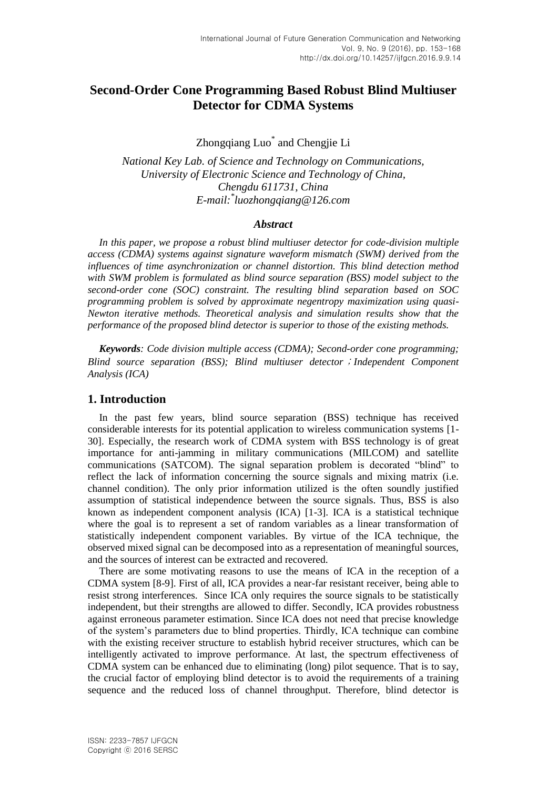# **Second-Order Cone Programming Based Robust Blind Multiuser Detector for CDMA Systems**

Zhongqiang Luo\* and Chengjie Li

*National Key Lab. of Science and Technology on Communications, University of Electronic Science and Technology of China, Chengdu 611731, China E-mail:\* luozhongqiang@126.com*

#### *Abstract*

*In this paper, we propose a robust blind multiuser detector for code-division multiple access (CDMA) systems against signature waveform mismatch (SWM) derived from the influences of time asynchronization or channel distortion. This blind detection method with SWM problem is formulated as blind source separation (BSS) model subject to the second-order cone (SOC) constraint. The resulting blind separation based on SOC programming problem is solved by approximate negentropy maximization using quasi-Newton iterative methods. Theoretical analysis and simulation results show that the performance of the proposed blind detector is superior to those of the existing methods.*

*Keywords: Code division multiple access (CDMA); Second-order cone programming; Blind source separation (BSS); Blind multiuser detector*;*Independent Component Analysis (ICA)*

## **1. Introduction**

In the past few years, blind source separation (BSS) technique has received considerable interests for its potential application to wireless communication systems [1- 30]. Especially, the research work of CDMA system with BSS technology is of great importance for anti-jamming in military communications (MILCOM) and satellite communications (SATCOM). The signal separation problem is decorated "blind" to reflect the lack of information concerning the source signals and mixing matrix (i.e. channel condition). The only prior information utilized is the often soundly justified assumption of statistical independence between the source signals. Thus, BSS is also known as independent component analysis (ICA) [1-3]. ICA is a statistical technique where the goal is to represent a set of random variables as a linear transformation of statistically independent component variables. By virtue of the ICA technique, the observed mixed signal can be decomposed into as a representation of meaningful sources, and the sources of interest can be extracted and recovered.

There are some motivating reasons to use the means of ICA in the reception of a CDMA system [8-9]. First of all, ICA provides a near-far resistant receiver, being able to resist strong interferences. Since ICA only requires the source signals to be statistically independent, but their strengths are allowed to differ. Secondly, ICA provides robustness against erroneous parameter estimation. Since ICA does not need that precise knowledge of the system's parameters due to blind properties. Thirdly, ICA technique can combine with the existing receiver structure to establish hybrid receiver structures, which can be intelligently activated to improve performance. At last, the spectrum effectiveness of CDMA system can be enhanced due to eliminating (long) pilot sequence. That is to say, the crucial factor of employing blind detector is to avoid the requirements of a training sequence and the reduced loss of channel throughput. Therefore, blind detector is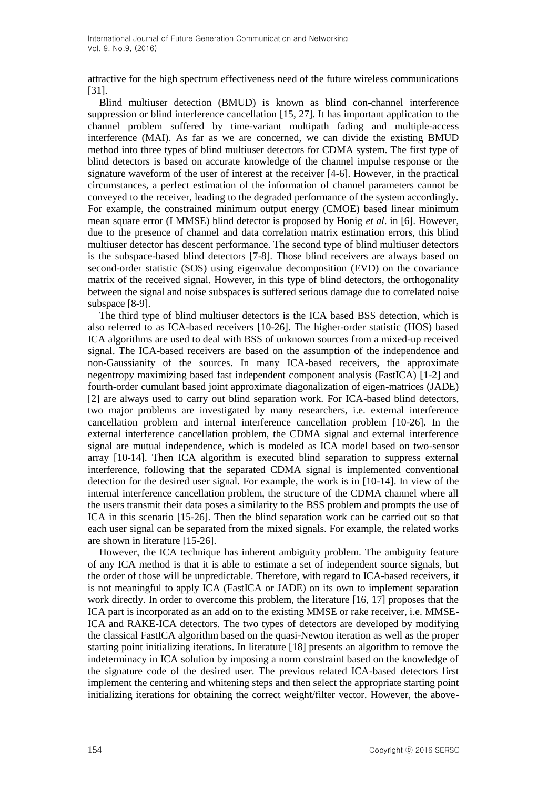attractive for the high spectrum effectiveness need of the future wireless communications [31].

Blind multiuser detection (BMUD) is known as blind con-channel interference suppression or blind interference cancellation [15, 27]. It has important application to the channel problem suffered by time-variant multipath fading and multiple-access interference (MAI). As far as we are concerned, we can divide the existing BMUD method into three types of blind multiuser detectors for CDMA system. The first type of blind detectors is based on accurate knowledge of the channel impulse response or the signature waveform of the user of interest at the receiver [4-6]. However, in the practical circumstances, a perfect estimation of the information of channel parameters cannot be conveyed to the receiver, leading to the degraded performance of the system accordingly. For example, the constrained minimum output energy (CMOE) based linear minimum mean square error (LMMSE) blind detector is proposed by Honig *et al*. in [6]. However, due to the presence of channel and data correlation matrix estimation errors, this blind multiuser detector has descent performance. The second type of blind multiuser detectors is the subspace-based blind detectors [7-8]. Those blind receivers are always based on second-order statistic (SOS) using eigenvalue decomposition (EVD) on the covariance matrix of the received signal. However, in this type of blind detectors, the orthogonality between the signal and noise subspaces is suffered serious damage due to correlated noise subspace [8-9].

The third type of blind multiuser detectors is the ICA based BSS detection, which is also referred to as ICA-based receivers [10-26]. The higher-order statistic (HOS) based ICA algorithms are used to deal with BSS of unknown sources from a mixed-up received signal. The ICA-based receivers are based on the assumption of the independence and non-Gaussianity of the sources. In many ICA-based receivers, the approximate negentropy maximizing based fast independent component analysis (FastICA) [1-2] and fourth-order cumulant based joint approximate diagonalization of eigen-matrices (JADE) [2] are always used to carry out blind separation work. For ICA-based blind detectors, two major problems are investigated by many researchers, i.e. external interference cancellation problem and internal interference cancellation problem [10-26]. In the external interference cancellation problem, the CDMA signal and external interference signal are mutual independence, which is modeled as ICA model based on two-sensor array [10-14]. Then ICA algorithm is executed blind separation to suppress external interference, following that the separated CDMA signal is implemented conventional detection for the desired user signal. For example, the work is in [10-14]. In view of the internal interference cancellation problem, the structure of the CDMA channel where all the users transmit their data poses a similarity to the BSS problem and prompts the use of ICA in this scenario [15-26]. Then the blind separation work can be carried out so that each user signal can be separated from the mixed signals. For example, the related works are shown in literature [15-26].

However, the ICA technique has inherent ambiguity problem. The ambiguity feature of any ICA method is that it is able to estimate a set of independent source signals, but the order of those will be unpredictable. Therefore, with regard to ICA-based receivers, it is not meaningful to apply ICA (FastICA or JADE) on its own to implement separation work directly. In order to overcome this problem, the literature [16, 17] proposes that the ICA part is incorporated as an add on to the existing MMSE or rake receiver, i.e. MMSE-ICA and RAKE-ICA detectors. The two types of detectors are developed by modifying the classical FastICA algorithm based on the quasi-Newton iteration as well as the proper starting point initializing iterations. In literature [18] presents an algorithm to remove the indeterminacy in ICA solution by imposing a norm constraint based on the knowledge of the signature code of the desired user. The previous related ICA-based detectors first implement the centering and whitening steps and then select the appropriate starting point initializing iterations for obtaining the correct weight/filter vector. However, the above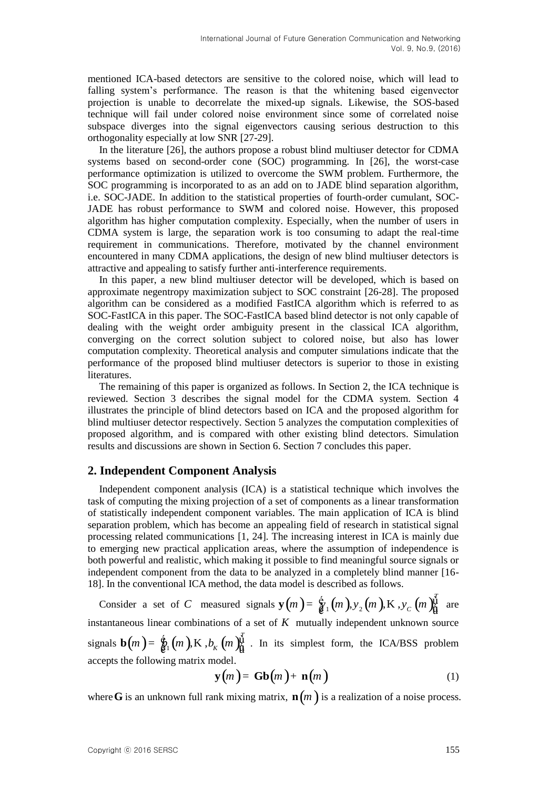mentioned ICA-based detectors are sensitive to the colored noise, which will lead to falling system's performance. The reason is that the whitening based eigenvector projection is unable to decorrelate the mixed-up signals. Likewise, the SOS-based technique will fail under colored noise environment since some of correlated noise subspace diverges into the signal eigenvectors causing serious destruction to this orthogonality especially at low SNR [27-29].

In the literature [26], the authors propose a robust blind multiuser detector for CDMA systems based on second-order cone (SOC) programming. In [26], the worst-case performance optimization is utilized to overcome the SWM problem. Furthermore, the SOC programming is incorporated to as an add on to JADE blind separation algorithm, i.e. SOC-JADE. In addition to the statistical properties of fourth-order cumulant, SOC-JADE has robust performance to SWM and colored noise. However, this proposed algorithm has higher computation complexity. Especially, when the number of users in CDMA system is large, the separation work is too consuming to adapt the real-time requirement in communications. Therefore, motivated by the channel environment encountered in many CDMA applications, the design of new blind multiuser detectors is attractive and appealing to satisfy further anti-interference requirements.

In this paper, a new blind multiuser detector will be developed, which is based on approximate negentropy maximization subject to SOC constraint [26-28]. The proposed algorithm can be considered as a modified FastICA algorithm which is referred to as SOC-FastICA in this paper. The SOC-FastICA based blind detector is not only capable of dealing with the weight order ambiguity present in the classical ICA algorithm, converging on the correct solution subject to colored noise, but also has lower computation complexity. Theoretical analysis and computer simulations indicate that the performance of the proposed blind multiuser detectors is superior to those in existing literatures.

The remaining of this paper is organized as follows. In Section 2, the ICA technique is reviewed. Section 3 describes the signal model for the CDMA system. Section 4 illustrates the principle of blind detectors based on ICA and the proposed algorithm for blind multiuser detector respectively. Section 5 analyzes the computation complexities of proposed algorithm, and is compared with other existing blind detectors. Simulation results and discussions are shown in Section 6. Section 7 concludes this paper.

# **2. Independent Component Analysis**

Independent component analysis (ICA) is a statistical technique which involves the task of computing the mixing projection of a set of components as a linear transformation of statistically independent component variables. The main application of ICA is blind separation problem, which has become an appealing field of research in statistical signal processing related communications [1, 24]. The increasing interest in ICA is mainly due to emerging new practical application areas, where the assumption of independence is both powerful and realistic, which making it possible to find meaningful source signals or independent component from the data to be analyzed in a completely blind manner [16- 18]. In the conventional ICA method, the data model is described as follows.

Consider a set of *C* measured signals  $y(m) = \frac{6}{6} \cdot 1(m), y_2(m), K, y_c(m)$ *T* model is described as follows.<br> **y**(*m*) =  $\frac{6}{8}$ <sup>1</sup> (*m*),  $y_2$  (*m*),  $K$ ,  $y_c$  (*m*) $\frac{y_1^T}{9}$  are are instantaneous linear combinations of a set of  $K$  mutually independent unknown source signals  $\mathbf{b}(m) = \oint_{\mathbf{C}^1} (m)$ , K,  $b_K$   $(m)$  $\oint_{\mathbf{C}^1}$ . . In its simplest form, the ICA/BSS problem accepts the following matrix model.

$$
\mathbf{y}(m) = \mathbf{Gb}(m) + \mathbf{n}(m) \tag{1}
$$

where **G** is an unknown full rank mixing matrix,  $\mathbf{n}(m)$  is a realization of a noise process.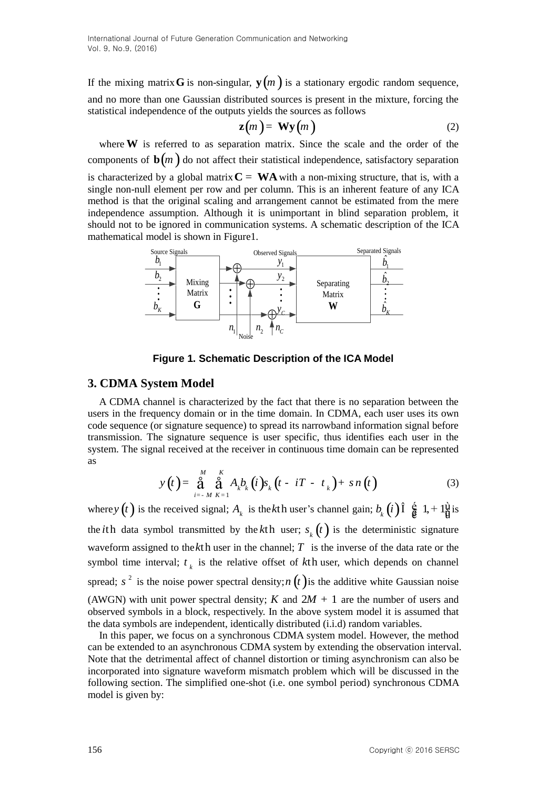If the mixing matrix **G** is non-singular,  $y(m)$  is a stationary ergodic random sequence, and no more than one Gaussian distributed sources is present in the mixture, forcing the statistical independence of the outputs yields the sources as follows

$$
\mathbf{z}(m) = \mathbf{W}\mathbf{y}(m) \tag{2}
$$

where W is referred to as separation matrix. Since the scale and the order of the components of  $\mathbf{b}(m)$  do not affect their statistical independence, satisfactory separation

is characterized by a global matrix  $C = WA$  with a non-mixing structure, that is, with a single non-null element per row and per column. This is an inherent feature of any ICA method is that the original scaling and arrangement cannot be estimated from the mere independence assumption. Although it is unimportant in blind separation problem, it should not to be ignored in communication systems. A schematic description of the ICA mathematical model is shown in Figure1.



**Figure 1. Schematic Description of the ICA Model** 

# **3. CDMA System Model**

A CDMA channel is characterized by the fact that there is no separation between the users in the frequency domain or in the time domain. In CDMA, each user uses its own code sequence (or signature sequence) to spread its narrowband information signal before transmission. The signature sequence is user specific, thus identifies each user in the as

system. The signal received at the receiver in continuous time domain can be represented as  
\n
$$
y(t) = \int_{i=-M}^{M} \int_{K=1}^{K} A_{k} b_{k} (i) s_{k} (t - iT - t_{k}) + sn(t)
$$
\n(3)

where *y* (*t*) is the received signal;  $A_k$  is the *k*th user's channel gain;  $b_k$  (*i*)  $\hat{\mathbf{l}}$   $\hat{\hat{\mathbf{e}}}$  1, +  $1\hat{\hat{\mathbf{u}}}$  is the *i*th data symbol transmitted by the *k*th user;  $s_k(t)$  is the deterministic signature waveform assigned to the  $k$ th user in the channel;  $T$  is the inverse of the data rate or the symbol time interval;  $t_k$  is the relative offset of  $k$ th user, which depends on channel spread;  $s^2$  is the noise power spectral density; *n*  $(t)$  is the additive white Gaussian noise (AWGN) with unit power spectral density;  $K$  and  $2M + 1$  are the number of users and observed symbols in a block, respectively. In the above system model it is assumed that the data symbols are independent, identically distributed (i.i.d) random variables.

In this paper, we focus on a synchronous CDMA system model. However, the method can be extended to an asynchronous CDMA system by extending the observation interval. Note that the detrimental affect of channel distortion or timing asynchronism can also be incorporated into signature waveform mismatch problem which will be discussed in the following section. The simplified one-shot (i.e. one symbol period) synchronous CDMA model is given by: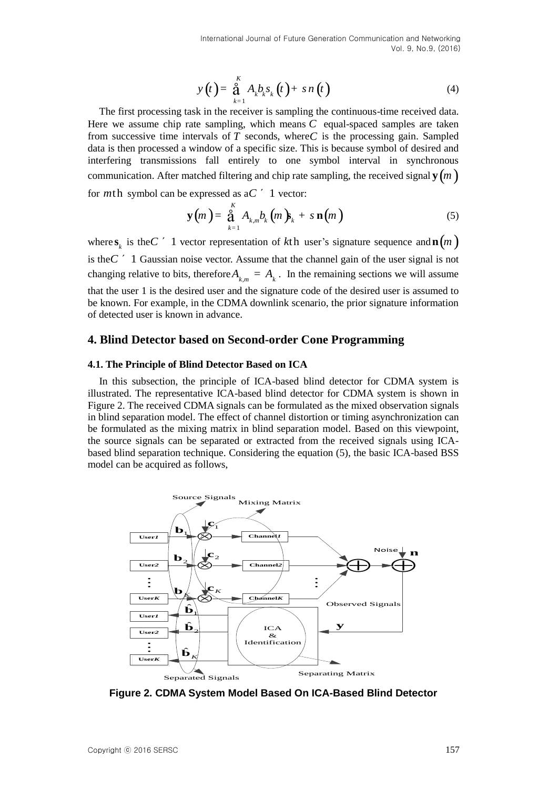$$
y(t) = \stackrel{\delta}{\underset{k=1}{\text{a}}} A_k b_k s_k(t) + sn(t)
$$
 (4)

The first processing task in the receiver is sampling the continuous-time received data. Here we assume chip rate sampling, which means  $C$  equal-spaced samples are taken from successive time intervals of  $T$  seconds, where  $C$  is the processing gain. Sampled data is then processed a window of a specific size. This is because symbol of desired and interfering transmissions fall entirely to one symbol interval in synchronous communication. After matched filtering and chip rate sampling, the received signal  $\mathbf{y}\!\left(m\,\right)$ for *m*th symbol can be expressed as a *C* ´ 1 vector:

$$
\mathbf{y}(m) = \mathop{\stackrel{\kappa}{\mathbf{a}}}_{k=1}^{K} A_{k,m} b_k (m) \mathbf{y}_k + s \mathbf{n}(m) \tag{5}
$$

where  $\mathbf{s}_k$  is the *C*  $\prime$  1 vector representation of kth user's signature sequence and  $\mathbf{n}(m)$ is the  $C'$  1 Gaussian noise vector. Assume that the channel gain of the user signal is not changing relative to bits, therefore  $A_{k,m} = A_k$ . In the remaining sections we will assume that the user 1 is the desired user and the signature code of the desired user is assumed to be known. For example, in the CDMA downlink scenario, the prior signature information of detected user is known in advance.

## **4. Blind Detector based on Second-order Cone Programming**

## **4.1. The Principle of Blind Detector Based on ICA**

In this subsection, the principle of ICA-based blind detector for CDMA system is illustrated. The representative ICA-based blind detector for CDMA system is shown in Figure 2. The received CDMA signals can be formulated as the mixed observation signals in blind separation model. The effect of channel distortion or timing asynchronization can be formulated as the mixing matrix in blind separation model. Based on this viewpoint, the source signals can be separated or extracted from the received signals using ICAbased blind separation technique. Considering the equation (5), the basic ICA-based BSS model can be acquired as follows,



**Figure 2. CDMA System Model Based On ICA-Based Blind Detector**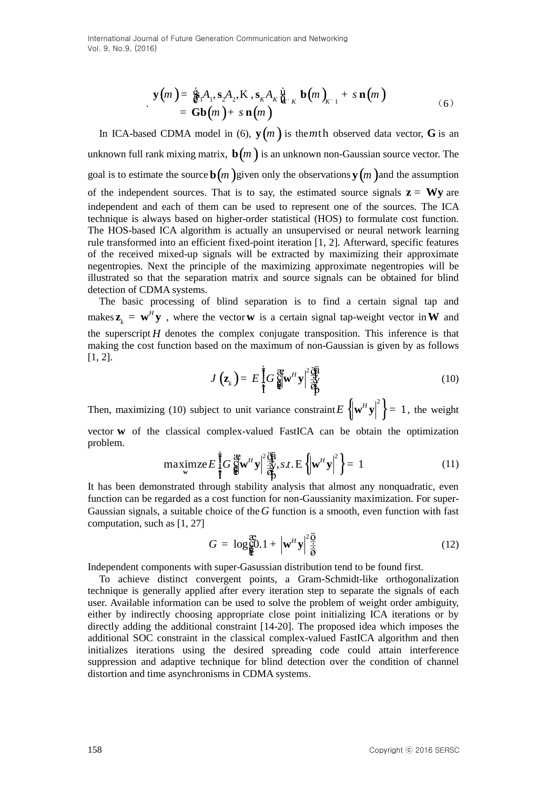$$
\mathbf{y}(m) = \mathbf{\hat{g}}_1 A_1, \mathbf{s}_2 A_2, \mathbf{K}, \mathbf{s}_k A_k \mathbf{\hat{g}}_{k'k} \mathbf{b}(m)_{k'1} + s \mathbf{n}(m) \n= \mathbf{Gb}(m) + s \mathbf{n}(m)
$$
\n(6)

In ICA-based CDMA model in (6),  $y(m)$  is the *m*th observed data vector, G is an unknown full rank mixing matrix,  $\mathbf{b}(m)$  is an unknown non-Gaussian source vector. The goal is to estimate the source  $\mathbf{b}(m)$  given only the observations  $\mathbf{y}(m)$  and the assumption of the independent sources. That is to say, the estimated source signals  $z = Wy$  are independent and each of them can be used to represent one of the sources. The ICA technique is always based on higher-order statistical (HOS) to formulate cost function. The HOS-based ICA algorithm is actually an unsupervised or neural network learning rule transformed into an efficient fixed-point iteration [1, 2]. Afterward, specific features of the received mixed-up signals will be extracted by maximizing their approximate negentropies. Next the principle of the maximizing approximate negentropies will be illustrated so that the separation matrix and source signals can be obtained for blind detection of CDMA systems.

The basic processing of blind separation is to find a certain signal tap and makes  $\mathbf{z}_{i} = \mathbf{w}^{H}$  $z_k = \mathbf{w}^H \mathbf{y}$ , where the vector **w** is a certain signal tap-weight vector in **W** and the superscript  $H$  denotes the complex conjugate transposition. This inference is that making the cost function based on the maximum of non-Gaussian is given by as follows [1, 2].

$$
J\left(\mathbf{z}_{k}\right) = E\left[\frac{1}{2}G\right]_{\mathbf{z}}^{\mathbf{a}}\mathbf{w}^{H}\mathbf{y}\left|\frac{\partial\mathbf{u}}{\partial\mathbf{p}}\right]
$$
(10)

Then, maximizing (10) subject to unit variance constraint  $E\left\{\mathbf{w}^H \mathbf{y}\right\}^2 = 1$ , the weight vector **w** of the classical complex-valued FastICA can be obtain the optimization problem.

Vector **w** of the classical complex-valued **FastICA** can be obtain the optimization problem.

\n
$$
\max_{\mathbf{w}} \text{maximize } E \int_{\mathbf{r}}^{\mathbf{\hat{f}}} G \oint_{\mathbf{r}}^{\mathbf{r}} \mathbf{w}^H \mathbf{y} \Big| \frac{2 \dot{\mathbf{q}}^{\mathbf{\hat{i}}}}{\dot{\mathbf{q}}^{\mathbf{\hat{j}}}}, \text{s.t.} \mathbf{E} \left\{ \left| \mathbf{w}^H \mathbf{y} \right|^2 \right\} = 1 \tag{11}
$$
\nIt has been demonstrated through stability analysis that almost any nonquadratic, even

function can be regarded as a cost function for non-Gaussianity maximization. For super-Gaussian signals, a suitable choice of the G function is a smooth, even function with fast computation, such as [1, 27]

$$
G = \log \frac{26}{9} \cdot 1 + \left| \mathbf{w}^H \mathbf{y} \right|^2 \frac{\ddot{\mathbf{0}}}{\dot{\mathbf{0}}}
$$
 (12)

Independent components with super-Gasussian distribution tend to be found first.

To achieve distinct convergent points, a Gram-Schmidt-like orthogonalization technique is generally applied after every iteration step to separate the signals of each user. Available information can be used to solve the problem of weight order ambiguity, either by indirectly choosing appropriate close point initializing ICA iterations or by directly adding the additional constraint [14-20]. The proposed idea which imposes the additional SOC constraint in the classical complex-valued FastICA algorithm and then initializes iterations using the desired spreading code could attain interference suppression and adaptive technique for blind detection over the condition of channel distortion and time asynchronisms in CDMA systems.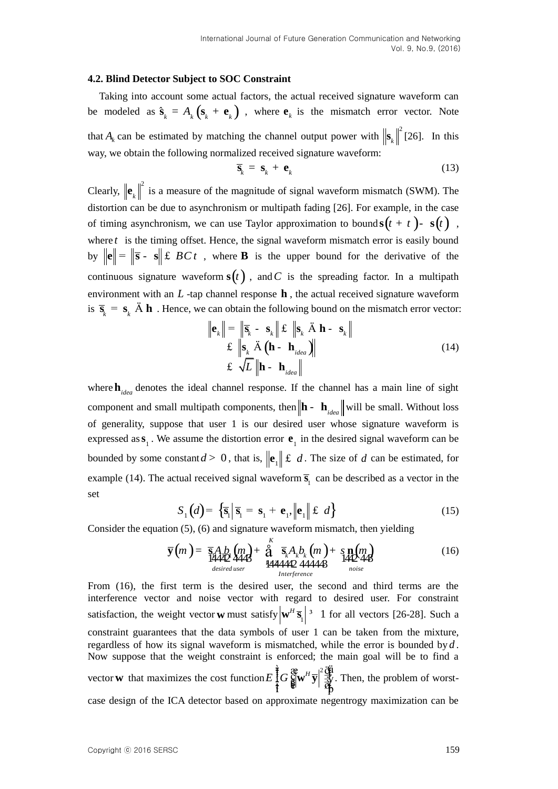#### **4.2. Blind Detector Subject to SOC Constraint**

Taking into account some actual factors, the actual received signature waveform can be modeled as  $\hat{\mathbf{s}}_k = A_k (\mathbf{s}_k + \mathbf{e}_k)$ , where  $\mathbf{e}_k$  is the mismatch error vector. Note that  $A_k$  can be estimated by matching the channel output power with  $\left\| \mathbf{s}_k \right\|^2$  $\mathbf{s}_{k}$ <sup>[[26]</sup>. In this way, we obtain the following normalized received signature waveform:

$$
\overline{\mathbf{s}}_k = \mathbf{s}_k + \mathbf{e}_k \tag{13}
$$

Clearly,  $\left\| \mathbf{e}_{i} \right\|^{2}$  $\mathbf{e}_k$  is a measure of the magnitude of signal waveform mismatch (SWM). The distortion can be due to asynchronism or multipath fading [26]. For example, in the case of timing asynchronism, we can use Taylor approximation to bound  $s(t + t)$ -  $s(t)$ , where  $t$  is the timing offset. Hence, the signal waveform mismatch error is easily bound by  $\|\mathbf{e}\| = \|\mathbf{\overline{s}} - \mathbf{s}\| \le BCt$ , where **B** is the upper bound for the derivative of the continuous signature waveform  $s(t)$ , and C is the spreading factor. In a multipath environment with an  $L$  -tap channel response  $h$ , the actual received signature waveform is  $\bar{s}_k = s_k \times h$ . Hence, we can obtain the following bound on the mismatch error vector:

$$
\|\mathbf{e}_{k}\| = \|\overline{\mathbf{s}}_{k} - \mathbf{s}_{k}\| \mathbf{\pounds} \|\mathbf{s}_{k} \mathbf{\ddot{A}} \mathbf{h} - \mathbf{s}_{k}\|
$$
  

$$
\mathbf{\pounds} \|\mathbf{s}_{k} \mathbf{\ddot{A}} (\mathbf{h} - \mathbf{h}_{ideal})\|
$$
  

$$
\mathbf{\pounds} \mathbf{\sqrt{L}} \|\mathbf{h} - \mathbf{h}_{ideal}\|
$$
 (14)

where  $\mathbf{h}_{idea}$  denotes the ideal channel response. If the channel has a main line of sight component and small multipath components, then  $\|\mathbf{h} - \mathbf{h}_{idea}\|$  will be small. Without loss of generality, suppose that user 1 is our desired user whose signature waveform is expressed as  $\mathbf{s}_1$ . We assume the distortion error  $\mathbf{e}_1$  in the desired signal waveform can be bounded by some constant  $d > 0$ , that is,  $\left\| \mathbf{e}_{1} \right\| \leq d$ . The size of  $d$  can be estimated, for example (14). The actual received signal waveform  $\overline{s}_1$  can be described as a vector in the set

$$
S_1(d) = \left\{ \overline{\mathbf{s}}_1 \middle| \overline{\mathbf{s}}_1 = \mathbf{s}_1 + \mathbf{e}_1, \left\| \mathbf{e}_1 \right\| \leq d \right\}
$$
(15)

Consider the equation (5), (6) and signature waveform mismatch, then yielding  
\n
$$
\overline{\mathbf{y}}(m) = \frac{\overline{\mathbf{s}}A}{1442} \lim_{\substack{M \to \infty \\ \text{desired user}}} \mathbf{y} + \frac{\delta}{2} \overline{\mathbf{s}}_k A_k b_k(m) + \mathbf{s} \mathbf{n}(m) + \mathbf{y} \mathbf{n}(m) + \mathbf{y} \mathbf{n}(m) + \mathbf{y} \mathbf{n}(m) + \mathbf{y} \mathbf{n}(m) + \mathbf{y} \mathbf{n}(m) + \mathbf{y} \mathbf{n}(m) + \mathbf{y} \mathbf{n}(m) + \mathbf{y} \mathbf{n}(m) + \mathbf{y} \mathbf{n}(m) + \mathbf{y} \mathbf{n}(m) + \mathbf{y} \mathbf{n}(m) + \mathbf{y} \mathbf{n}(m) + \mathbf{y} \mathbf{n}(m) + \mathbf{y} \mathbf{n}(m) + \mathbf{y} \mathbf{n}(m) + \mathbf{y} \mathbf{n}(m) + \mathbf{y} \mathbf{n}(m) + \mathbf{y} \mathbf{n}(m) + \mathbf{y} \mathbf{n}(m) + \mathbf{y} \mathbf{n}(m) + \mathbf{y} \mathbf{n}(m) + \mathbf{y} \mathbf{n}(m) + \mathbf{y} \mathbf{n}(m) + \mathbf{y} \mathbf{n}(m) + \mathbf{y} \mathbf{n}(m) + \mathbf{y} \mathbf{n}(m) + \mathbf{y} \mathbf{n}(m) + \mathbf{y} \mathbf{n}(m) + \mathbf{y} \mathbf{n}(m) + \mathbf{y} \mathbf{n}(m) + \mathbf{y} \mathbf{n}(m) + \mathbf{y} \mathbf{n}(m) + \mathbf{y} \mathbf{n}(m) + \mathbf{y} \mathbf{n}(m) + \mathbf{y} \mathbf{n}(m) + \mathbf{y} \mathbf{n}(m) + \mathbf{y} \mathbf{n}(m) + \mathbf{y} \mathbf{n}(m) + \mathbf{y} \mathbf{n}(m) + \mathbf{y} \mathbf{n}(m) + \mathbf{y} \mathbf{n}(m) + \mathbf{y} \mathbf{n}(m) + \mathbf{y} \mathbf{n}(m) + \mathbf{y} \mathbf{n}(m) + \mathbf{y} \mathbf{n}(m) + \mathbf{y} \mathbf{n}(m) + \mathbf
$$

From (16), the first term is the desired user, the second and third terms are the interference vector and noise vector with regard to desired user. For constraint satisfaction, the weight vector **w** must satisfy  $\left|\mathbf{w}^H\overline{\mathbf{s}}_1\right|$ <sup>3</sup> 1 for all vectors [26-28]. Such a constraint guarantees that the data symbols of user 1 can be taken from the mixture, regardless of how its signal waveform is mismatched, while the error is bounded by *d* . Now suppose that the weight constraint is enforced; the main goal will be to find a vector **w** that maximizes the cost function  $E\left[\int_{0}^{\frac{1}{2}}G\int_{\frac{1}{2}}^{\infty}w^{H}\overline{y}\right]^{2}\frac{d\overline{y}}{\frac{1}{2}y}$ .  $\mathbf{w}^H \overline{\mathbf{y}}$   $\overline{\mathbf{y}}$ . Then, the problem of worstcase design of the ICA detector based on approximate negentrogy maximization can be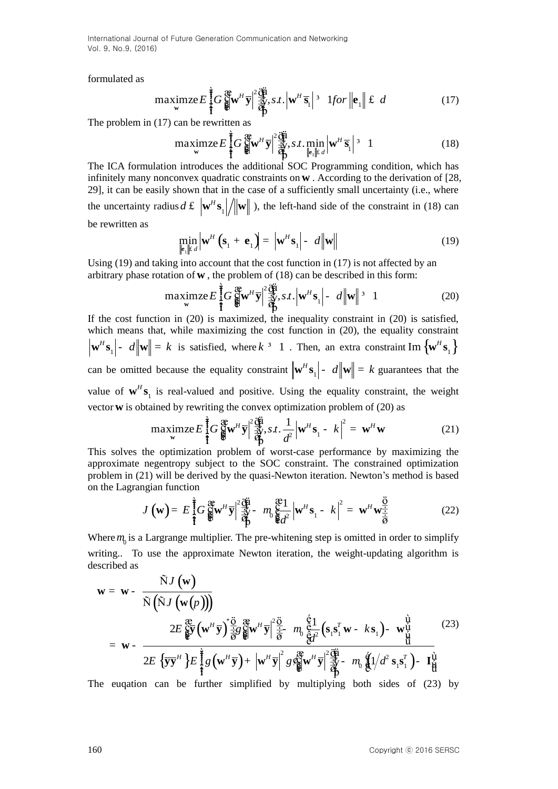formulated as

$$
\underset{\mathbf{w}}{\text{maximize}} E \prod_{i=1}^{\frac{1}{2}} G \prod_{i=1}^{\mathfrak{B}} \mathbf{w}^{H} \overline{\mathbf{y}} \Big| \frac{d \mathbf{w}}{d \mathbf{y}}^{2} \mathbf{y}, s.t. \Big| \mathbf{w}^{H} \overline{\mathbf{s}}_{1} \Big|^{3} \text{ 1} for \Big| \mathbf{e}_{1} \Big| \Big| \mathbf{f} \ d \qquad (17)
$$

The problem in (17) can be rewritten as

The problem in (17) can be rewritten as  
\n
$$
\max_{\mathbf{w}} \text{maximize } E \int_{\mathbf{v}}^{\frac{1}{2}} G \int_{\mathbf{w}}^{\mathbf{w}} \mathbf{w}^H \overline{\mathbf{y}} \Big| \frac{2 \overrightarrow{\mathbf{q}}}{\overrightarrow{\mathbf{q}}}, s.t. \min_{\mathbf{w}} \left| \mathbf{w}^H \overline{\mathbf{s}}_1 \right|^{3} = 1
$$
\n
$$
\text{The ICA formulation introduces the additional SOC Programming condition, which has}
$$
\n(18)

infinitely many nonconvex quadratic constraints on **w** . According to the derivation of [28, 29], it can be easily shown that in the case of a sufficiently small uncertainty (i.e., where the uncertainty radius  $d \mathbf{\pounds} \|\mathbf{w}^H \mathbf{s}_1\|$  $d \mathbf{f} \|\mathbf{w}^H \mathbf{s}_1 / \|\mathbf{w}\|$ ), the left-hand side of the constraint in (18) can be rewritten as

$$
\min_{\|\mathbf{e}_i\|^E d} \left|\mathbf{w}^H \left(\mathbf{s}_1 + \mathbf{e}_1\right)\right| = \left|\mathbf{w}^H \mathbf{s}_1\right| - d \left\|\mathbf{w}\right\| \tag{19}
$$

Using  $(19)$  and taking into account that the cost function in  $(17)$  is not affected by an

Using (19) and taking into account that the cost function in (17) is not affected by an arbitrary phase rotation of **w**, the problem of (18) can be described in this form:  
\n
$$
\maximize E\left[\frac{1}{2}G\right]_{\mathbf{w}}^{\mathbf{w}}W^{H}\overline{\mathbf{y}}\left|\frac{1}{2}\right|\overline{\mathbf{y}}^{2}, s.t. \left|\mathbf{w}^{H}\mathbf{s}_{1}\right| = d\left\|\mathbf{w}\right\|^{3} = 1
$$
\n(20)  
\nIf the cost function in (20) is maximized, the inequality constraint in (20) is satisfied,

which means that, while maximizing the cost function in (20), the equality constraint  $\mathbf{w}^H \mathbf{s}_1$  -  $d \|\mathbf{w}\| = k$  is satisfied, where  $k^{-3}$  1. Then, an extra constraint Im  $\{\mathbf{w}^H \mathbf{s}_1\}$ can be omitted because the equality constraint  $\left|\mathbf{w}^H\mathbf{s}_1\right|$  -  $d\left|\left|\mathbf{w}\right|\right| = k$  guarantees that the value of  $\mathbf{w}^H \mathbf{s}_1$  is real-valued and positive. Using the equality constraint, the weight vector **w** is obtained by rewriting the convex optimization problem of (20) as <br>maximze  $E\left[\int_{\mathbf{x}}^{\mathbf{\hat{g}}} G_{\mathbf{g}}^{\mathbf{\hat{g}}} \mathbf{w}^H \mathbf{y}\right] \frac{d\mathbf{\hat{g}}}{d\mathbf{\hat{g}}}, s.t. \frac{1}{d^2} \left|\mathbf{w}^H \mathbf{s}_1 - k\right|^2 = \mathbf{w}^H \mathbf{w}$ 

vector **w** is obtained by rewriting the convex optimization problem of (20) as  
\n
$$
\max_{\mathbf{w}} \text{maximize } E\left\{\frac{1}{f}G\right\}_{\mathbf{w}}^{\mathbf{w}} \mathbf{w}^H \overline{\mathbf{y}} \Big| \frac{d\mathbf{w}}{dt} \mathbf{y}.s.t. \frac{1}{d^2} \Big|\mathbf{w}^H \mathbf{s}_1 - k \Big|^2 = \mathbf{w}^H \mathbf{w}
$$
\n(21)  
\nThis solves the optimization problem of worst-case performance by maximizing the

approximate negentropy subject to the SOC constraint. The constrained optimization problem in (21) will be derived by the quasi-Newton iteration. Newton's method is based<br>
on the Lagrangian function<br>  $J(\mathbf{w}) = E \int_0^2 G \mathbf{g} \mathbf{w}^H \mathbf{y} \Big| \frac{\partial \mathbf{g}}{\partial x} - m_0 \mathbf{g} - m_0 \mathbf{g} \Big| \mathbf{w}^H \mathbf{s}_1 - k \Big|^2 = \mathbf{w}$ on the Lagrangian function

Equation (22) The equation is given by:

\n
$$
J(\mathbf{w}) = E \int_{\mathbf{I}}^{\frac{1}{2}} G \int_{\mathbf{S}}^{\mathbf{a}} \mathbf{w}^{H} \overline{\mathbf{y}} \Big|^{2} \frac{d\mathbf{u}}{d\mathbf{r}} - m_{0} \int_{\mathbf{S}}^{\mathbf{a}} \frac{1}{d^{2}} \Big| \mathbf{w}^{H} \mathbf{s}_{1} - k \Big|^{2} = \mathbf{w}^{H} \mathbf{w}^{\frac{\overrightarrow{0}}{\frac{1}{2}}}.
$$

Where  $m_0$  is a Largrange multiplier. The pre-whitening step is omitted in order to simplify described as

writing.. To use the approximate Newton iteration, the weight-updating algorithm is  
described as  

$$
\mathbf{w} = \mathbf{w} - \frac{\tilde{N}J(\mathbf{w})}{\tilde{N}(\tilde{N}J(\mathbf{w}(p)))}
$$

$$
2E \frac{\partial}{\partial y} (\mathbf{w}^H \mathbf{y}) \frac{\partial}{\partial z} \frac{\partial}{\partial y} \mathbf{w}^H \mathbf{y}^2 \frac{\partial}{\partial z} - m_0 \frac{\partial}{\partial t^2} (\mathbf{s}_1 \mathbf{s}_1^T \mathbf{w} - k \mathbf{s}_1) - \mathbf{w}_u^{\mathbf{u}} \frac{\partial}{\partial t}
$$
(23)  

$$
= \mathbf{w} - \frac{2E \{ \mathbf{y} \mathbf{y}^H \} E \frac{\partial}{\partial t} (\mathbf{w}^H \mathbf{y}) + |\mathbf{w}^H \mathbf{y}|^2 g \frac{\partial}{\partial y} (\mathbf{w}^H \mathbf{y})^2 \frac{\partial}{\partial t} - m_0 \frac{\partial}{\partial t} (\lambda^2 \mathbf{s}_1 \mathbf{s}_1^T) - \mathbf{I}_H^{\mathbf{u}}
$$

The euqation can be further simplified by multiplying both sides of (23) by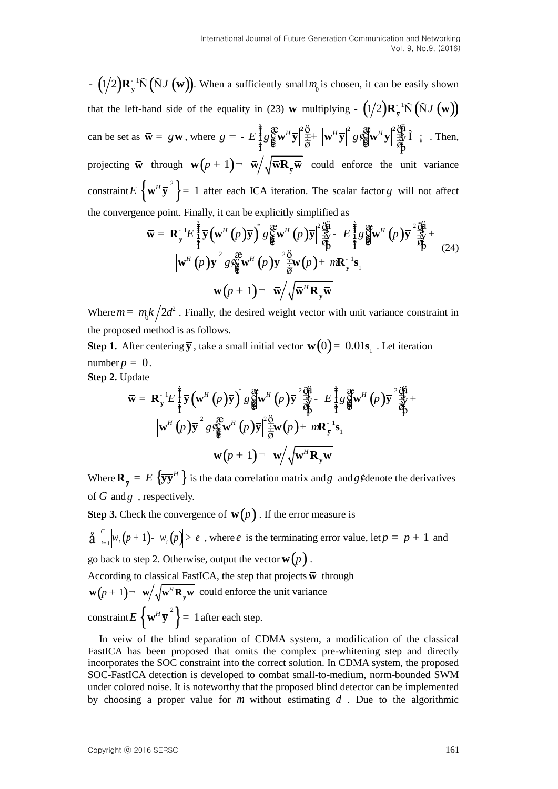$\mathbf{F} = \int_{0}^{1/2} \mathbf{R}_{y} \cdot \mathbf{N} \left( \mathbf{S} \mathbf{Z} \left( \mathbf{w} \right) \right)$ . When a sufficiently small  $n_{y}$  is chosen, it can be easily shown<br>that the left-hand side of the equality in (23) w multiplying  $-\left(\frac{1}{2}\right)\mathbf{R}_{y} \cdot \mathbf{$  $-\left(1/2\right)R_{\overline{y}}^{-1}\tilde{N}\left(\tilde{N}J\left(\mathbf{w}\right)\right)$ . When a sufficiently small  $m_0$  is chosen, it can be easily shown that the left-hand side of the equality in (23) **w** multiplying  $-(1/2)R_{\overline{y}}^{-1}\tilde{N}(\tilde{N}J(w))$ that the left-hand side of the equality in (23) **w** multiplying  $-(1/2)\mathbf{R}_{\bar{y}}^{-1}\tilde{N}(\tilde{N}J(\mathbf{w}))$ <br>can be set as  $\bar{\mathbf{w}} = g\mathbf{w}$ , where  $g = -E\int_{1}^{\frac{2}{3}} g\left(\frac{\partial \mathbf{w}}{\partial \theta}\mathbf{w}^{H}\overline{\mathbf{y}}\right]^{2}\frac{\partial}{\partial \theta} + \left|\mathbf{w}^{H$  $\mathbf{\hat{y}}^{\mu} \overline{\mathbf{y}} \Big| \frac{d\mathbf{\hat{y}}}{dt} + \Big| \mathbf{w}^{\mu} \overline{\mathbf{y}} \Big|^{2} g \oint_{\mathbf{\hat{y}}}^{\mathbf{\hat{y}}} \mathbf{w}^{\mu} \mathbf{y} \Big|^{2} \frac{d\mathbf{\hat{y}}}{dt} \hat{\mathbf{i}}$  i. Then, projecting  $\bar{\mathbf{w}}$  through  $\mathbf{w}(p+1)$   $\bar{\mathbf{w}}/\sqrt{\bar{\mathbf{w}}\mathbf{R}_{\bar{y}}\bar{\mathbf{w}}}$  could enforce the unit variance constraint  $E\left\{\mathbf{w}^H \overline{\mathbf{y}}\right\}^2 = 1$  after each ICA iteration. The scalar factor g will not affect<br>the convergence point. Finally, it can be explicitly simplified as<br> $\overline{\mathbf{w}} = \mathbf{R}_{\overline{y}}^{-1} E \prod_{i=1}^{\frac{2}{3}} \overline{\mathbf$ the convergence point. Finally, it can be explicitly simplified as <br>  $\overline{\mathbf{w}} = \mathbf{R}^{-1} E^{\frac{2}{3}} \overline{\mathbf{v}} (\mathbf{w}^H (p) \overline{\mathbf{v}})^* g \mathbf{g}^{\text{av}} (\mathbf{w}^H (p) \overline{\mathbf{v}})^2 \mathbf{g}^2 \mathbf{w}^H (p) \overline{\mathbf{v}}^2 + E^{\frac{2}{3}} g \mathbf{g}^{\text{av}} (\mathbf{$ ce point. Finally, it can be explicitly simplified as<br>  $\overline{\mathbf{w}} = \mathbf{R}_{\overline{y}}^{-1} E \int_{\overline{y}}^{\frac{2}{3}} \overline{\mathbf{y}} (\mathbf{w}^H (p) \overline{\mathbf{y}})^\dagger g_{\overline{g}}^{\mathfrak{P}} \mathbf{w}^H (p) \overline{\mathbf{y}} |_{\overline{\mathbf{w}}^{\mathcal{U}}^{\mathcal{U}}}^2 E \int_{\overline{g}}^{\frac{2}{3}} g_{\overline{g}}$ 

ce point. Finally, it can be explicitly simplified as  
\n
$$
\overline{\mathbf{w}} = \mathbf{R}_{\overline{y}}^{-1} E \int_{\overline{\mathbf{t}}}^{\overline{\mathbf{t}}} \overline{\mathbf{y}} (\mathbf{w}^{H} (p) \overline{\mathbf{y}})^{*} g_{\overline{\mathbf{g}}}^{\overline{\mathbf{g}}} \mathbf{w}^{H} (p) \overline{\mathbf{y}} \Big|^{2} \frac{\partial \mathbf{\hat{u}}}{\partial \mathbf{\hat{y}}} - E \int_{\overline{\mathbf{t}}}^{\overline{\mathbf{t}}} g_{\overline{\mathbf{g}}}^{\overline{\mathbf{g}}} \mathbf{w}^{H} (p) \overline{\mathbf{y}} \Big|^{2} \frac{\partial \mathbf{\hat{u}}}{\partial \mathbf{\hat{y}}} + |\mathbf{w}^{H} (p) \overline{\mathbf{y}}|^{2} g_{\overline{\mathbf{g}}}^{\overline{\mathbf{g}}} \mathbf{w}^{H} (p) \overline{\mathbf{y}} \Big|^{2} \frac{\partial}{\partial \mathbf{\hat{y}}} \mathbf{w} (p) + m \mathbf{R}_{\overline{y}}^{-1} \mathbf{s}_{1}
$$
\n
$$
\mathbf{w}(p+1) - \overline{\mathbf{w}} / \sqrt{\overline{\mathbf{w}}^{H} \mathbf{R}_{\overline{y}}} \overline{\mathbf{w}}
$$

Where  $m = m_b k / 2d^2$ . Finally, the desired weight vector with unit variance constraint in the proposed method is as follows.

**Step 1.** After centering  $\bar{y}$ , take a small initial vector  $\bf{w}(0) = 0.01 s$ <sub>1</sub>. Let iteration number  $p = 0$ . **Step 2.** Update  $\int \frac{1}{2} \vec{y} \left( \mathbf{w}^H(p) \overline{y} \right)^* g \frac{d \mathbf{w}^H}{d \mathbf{w}^H}(p) \overline{y} \Big|^2 \frac{d \mathbf{w}^H}{d \mathbf{w}^H}(p) \overline{y} \Big|^2 \frac{d \mathbf{w}^H}{d \mathbf{w}^H}(p) \overline{y} \Big|^2 \frac{d \mathbf{w}^H}{d \mathbf{w}^H}(p) \Big|^2 \frac{d \mathbf{w}^H}{d \mathbf{w}^H}(p) \Big|^2 \frac{d \mathbf{w}^H}{d \mathbf{w$ 

$$
\overline{\mathbf{w}} = \mathbf{R}_{\overline{y}}^{-1} E \left\{ \overline{\mathbf{y}} \left( \mathbf{w}^H \left( p \right) \overline{\mathbf{y}} \right)^* g \right\}^{\mathfrak{F}}_{\mathfrak{F}} \mathbf{w}^H \left( p \right) \overline{\mathbf{y}} \right\}^2 \frac{\partial \overline{\mathbf{w}}}{\partial \overline{\mathbf{p}}} - E \left\{ g \right\}^{\mathfrak{F}} g \mathbf{w}^H \left( p \right) \overline{\mathbf{y}} \right\}^2 \frac{\partial \overline{\mathbf{w}}}{\partial \mathbf{p}} + \left| \mathbf{w}^H \left( p \right) \overline{\mathbf{y}} \right|^2 \frac{\partial \overline{\mathbf{w}}}{\partial \mathbf{p}} \mathbf{w}^H \left( p \right) \mathbf{y} \right\}^2 \frac{\partial \overline{\mathbf{w}}}{\partial \mathbf{p}} \mathbf{w}^H \left( p \right) \mathbf{y} \right\}^2 \frac{\partial \overline{\mathbf{w}}}{\partial \mathbf{w}} \mathbf{w}^H \left( p \right) \mathbf{y} \right\}^2 \frac{\partial \overline{\mathbf{w}}}{\partial \mathbf{w}} \mathbf{w}^H \left( p \right) \mathbf{y} \right\}^2 \frac{\partial \overline{\mathbf{w}}}{\partial \mathbf{w}} \mathbf{w}^H \left( p \right) \mathbf{y} \right\}^2 \frac{\partial \overline{\mathbf{w}}}{\partial \mathbf{w}} \mathbf{w}^H \mathbf{w}^H \mathbf{w}^H \mathbf{w}^H \mathbf{w}^H \mathbf{w}^H \mathbf{w}^H \mathbf{w}^H \mathbf{w}^H \mathbf{w}^H \mathbf{w}^H \mathbf{w}^H \mathbf{w}^H \mathbf{w}^H \mathbf{w}^H \mathbf{w}^H \mathbf{w}^H \mathbf{w}^H \mathbf{w}^H \mathbf{w}^H \mathbf{w}^H \mathbf{w}^H \mathbf{w}^H \mathbf{w}^H \mathbf{w}^H \mathbf{w}^H \mathbf{w}^H \mathbf{w}^H \mathbf{w}^H \mathbf{w}^H \mathbf
$$

Where  $\mathbf{R}_{\overline{y}} = E \left\{ \overline{y} \overline{y}^H \right\}$  is the data correlation matrix and g and g ¢ denote the derivatives of *G* and *g* , respectively.

**Step 3.** Check the convergence of  $\mathbf{w}(p)$ . If the error measure is

$$
\hat{\mathbf{a}} \bigg|_{i=1}^{c} \Big| w_i (p+1) - w_i (p) \Big| > e
$$
, where *e* is the terminating error value, let  $p = p + 1$  and go back to step 2. Otherwise, output the vector **w**(*p*).

According to classical FastICA, the step that projects  $\overline{\textbf{w}}$  through  $\mathbf{w}(p+1)$ <sup>-</sup>  $\overline{\mathbf{w}}/\sqrt{\overline{\mathbf{w}}^H \mathbf{R}_{\overline{\mathbf{y}}}}$  could enforce the unit variance

 $\text{constraint } E\left\{\mathbf{w}^H \overline{\mathbf{y}}\right\}^2 = 1 \text{ after each step.}$ 

In veiw of the blind separation of CDMA system, a modification of the classical FastICA has been proposed that omits the complex pre-whitening step and directly incorporates the SOC constraint into the correct solution. In CDMA system, the proposed SOC-FastICA detection is developed to combat small-to-medium, norm-bounded SWM under colored noise. It is noteworthy that the proposed blind detector can be implemented by choosing a proper value for *m* without estimating *d* . Due to the algorithmic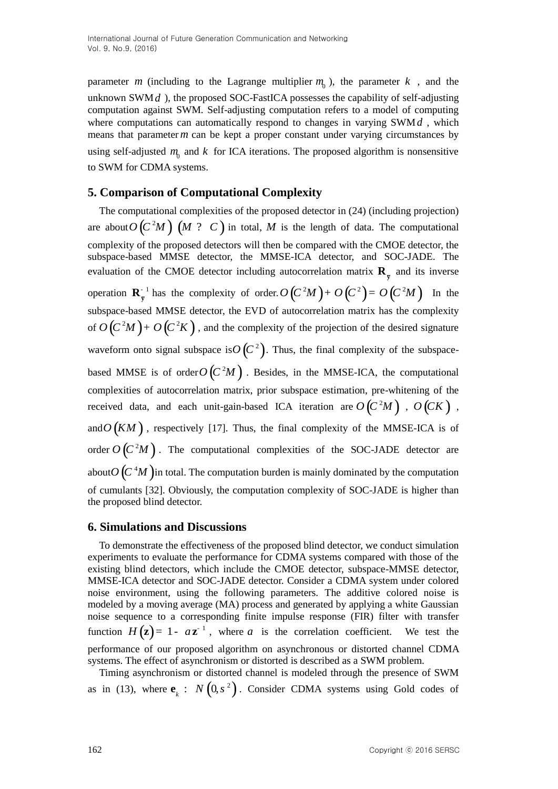parameter *m* (including to the Lagrange multiplier  $m_0$ ), the parameter  $k$ , and the unknown SWM *d* ), the proposed SOC-FastICA possesses the capability of self-adjusting computation against SWM. Self-adjusting computation refers to a model of computing where computations can automatically respond to changes in varying SWM *d* , which means that parameter *m* can be kept a proper constant under varying circumstances by using self-adjusted  $m_0$  and  $k$  for ICA iterations. The proposed algorithm is nonsensitive to SWM for CDMA systems.

# **5. Comparison of Computational Complexity**

The computational complexities of the proposed detector in (24) (including projection) are about  $O(C<sup>2</sup>M)$   $(M$  ? C  $)$  in total, M is the length of data. The computational complexity of the proposed detectors will then be compared with the CMOE detector, the subspace-based MMSE detector, the MMSE-ICA detector, and SOC-JADE. The evaluation of the CMOE detector including autocorrelation matrix  $\mathbf{R}_{\overline{y}}$  and its inverse operation  $\mathbf{R}_{\bar{y}}^{-1}$  has the complexity of order.  $O(C^2M) + O(C^2) = O(C^2M)$  In the subspace-based MMSE detector, the EVD of autocorrelation matrix has the complexity of  $O(C<sup>2</sup>M) + O(C<sup>2</sup>K)$ , and the complexity of the projection of the desired signature waveform onto signal subspace is  $O(C^2)$ . Thus, the final complexity of the subspacebased MMSE is of order  $O(C^2M)$ . Besides, in the MMSE-ICA, the computational complexities of autocorrelation matrix, prior subspace estimation, pre-whitening of the received data, and each unit-gain-based ICA iteration are  $O(C^2M)$ ,  $O\left(CK\right)$ , and  $O(KM)$ , respectively [17]. Thus, the final complexity of the MMSE-ICA is of order  $O(C<sup>2</sup>M)$ . The computational complexities of the SOC-JADE detector are about  $O\left( C^4M\right)$  in total. The computation burden is mainly dominated by the computation of cumulants [32]. Obviously, the computation complexity of SOC-JADE is higher than the proposed blind detector.

# **6. Simulations and Discussions**

To demonstrate the effectiveness of the proposed blind detector, we conduct simulation experiments to evaluate the performance for CDMA systems compared with those of the existing blind detectors, which include the CMOE detector, subspace-MMSE detector, MMSE-ICA detector and SOC-JADE detector. Consider a CDMA system under colored noise environment, using the following parameters. The additive colored noise is modeled by a moving average (MA) process and generated by applying a white Gaussian noise sequence to a corresponding finite impulse response (FIR) filter with transfer function  $H(z) = 1 - a z^{-1}$ , where a is the correlation coefficient. We test the performance of our proposed algorithm on asynchronous or distorted channel CDMA systems. The effect of asynchronism or distorted is described as a SWM problem.

Timing asynchronism or distorted channel is modeled through the presence of SWM as in (13), where  $\mathbf{e}_k : N(0, s^2)$ . Consider CDMA systems using Gold codes of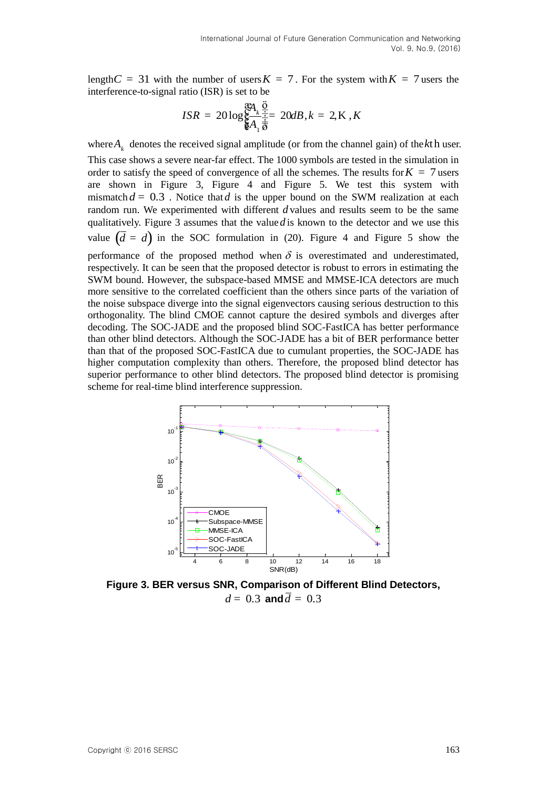length  $C = 31$  with the number of users  $K = 7$ . For the system with  $K = 7$  users the interference-to-signal ratio (ISR) is set to be<br>  $E_{\text{R}}^{R}$  and  $E_{\text{R}}^{R}$  and  $E_{\text{R}}^{R}$  and  $E_{\text{R}}^{R}$  and  $E_{\text{R}}^{R}$  and  $E_{\text{R}}^{R}$  and  $E_{\text{R}}^{R}$  and  $E_{\text{R}}^{R}$  and  $E_{\text{R}}^{R}$  and  $E_{\text{R}}^{R}$  and  $E$ 

$$
ISR = 20 \log_{\frac{1}{6}A_1 \frac{\overline{6}}{\overline{6}}}^{\frac{3R_1}{6} \frac{\overline{6}}{\frac{1}{2}}} 20dB, k = 2, K, K
$$

where  $A_k$  denotes the received signal amplitude (or from the channel gain) of the  $k$ th user. This case shows a severe near-far effect. The 1000 symbols are tested in the simulation in order to satisfy the speed of convergence of all the schemes. The results for  $K = 7$  users are shown in Figure 3, Figure 4 and Figure 5. We test this system with mismatch  $d = 0.3$ . Notice that  $d$  is the upper bound on the SWM realization at each random run. We experimented with different *d* values and results seem to be the same qualitatively. Figure 3 assumes that the value *d* is known to the detector and we use this value  $(\bar{d} = d)$  in the SOC formulation in (20). Figure 4 and Figure 5 show the performance of the proposed method when  $\delta$  is overestimated and underestimated, respectively. It can be seen that the proposed detector is robust to errors in estimating the SWM bound. However, the subspace-based MMSE and MMSE-ICA detectors are much more sensitive to the correlated coefficient than the others since parts of the variation of the noise subspace diverge into the signal eigenvectors causing serious destruction to this orthogonality. The blind CMOE cannot capture the desired symbols and diverges after decoding. The SOC-JADE and the proposed blind SOC-FastICA has better performance than other blind detectors. Although the SOC-JADE has a bit of BER performance better than that of the proposed SOC-FastICA due to cumulant properties, the SOC-JADE has higher computation complexity than others. Therefore, the proposed blind detector has superior performance to other blind detectors. The proposed blind detector is promising scheme for real-time blind interference suppression.



**Figure 3. BER versus SNR, Comparison of Different Blind Detectors,**  $d = 0.3$  and  $\overline{d} = 0.3$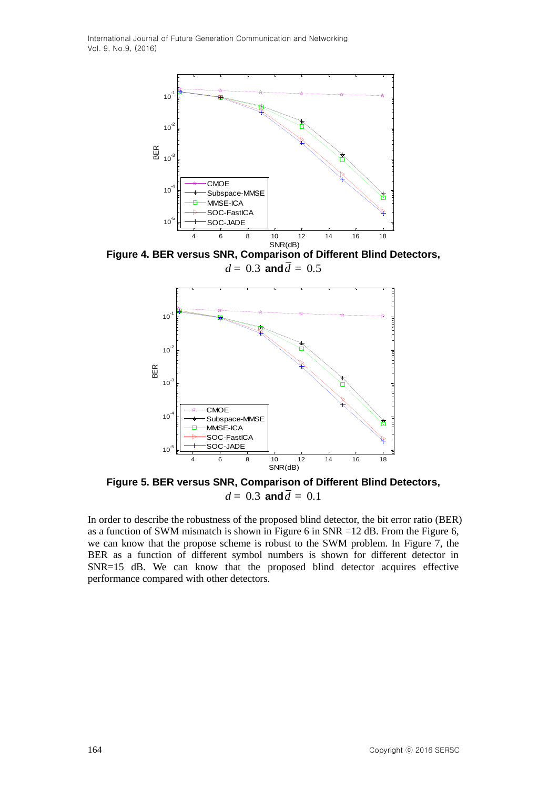

**Figure 4. BER versus SNR, Comparison of Different Blind Detectors,**  $d = 0.3$  and  $\overline{d} = 0.5$ 



**Figure 5. BER versus SNR, Comparison of Different Blind Detectors,**  $d = 0.3$  and  $\overline{d} = 0.1$ 

In order to describe the robustness of the proposed blind detector, the bit error ratio (BER) as a function of SWM mismatch is shown in Figure 6 in SNR =12 dB. From the Figure 6, we can know that the propose scheme is robust to the SWM problem. In Figure 7, the BER as a function of different symbol numbers is shown for different detector in SNR=15 dB. We can know that the proposed blind detector acquires effective performance compared with other detectors.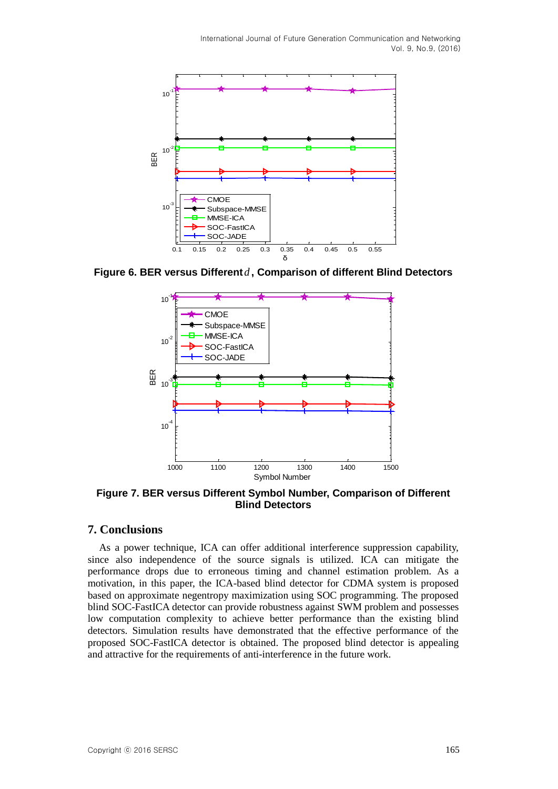

**Figure 6. BER versus Different** *d* **, Comparison of different Blind Detectors**



**Figure 7. BER versus Different Symbol Number, Comparison of Different Blind Detectors**

## **7. Conclusions**

As a power technique, ICA can offer additional interference suppression capability, since also independence of the source signals is utilized. ICA can mitigate the performance drops due to erroneous timing and channel estimation problem. As a motivation, in this paper, the ICA-based blind detector for CDMA system is proposed based on approximate negentropy maximization using SOC programming. The proposed blind SOC-FastICA detector can provide robustness against SWM problem and possesses low computation complexity to achieve better performance than the existing blind detectors. Simulation results have demonstrated that the effective performance of the proposed SOC-FastICA detector is obtained. The proposed blind detector is appealing and attractive for the requirements of anti-interference in the future work.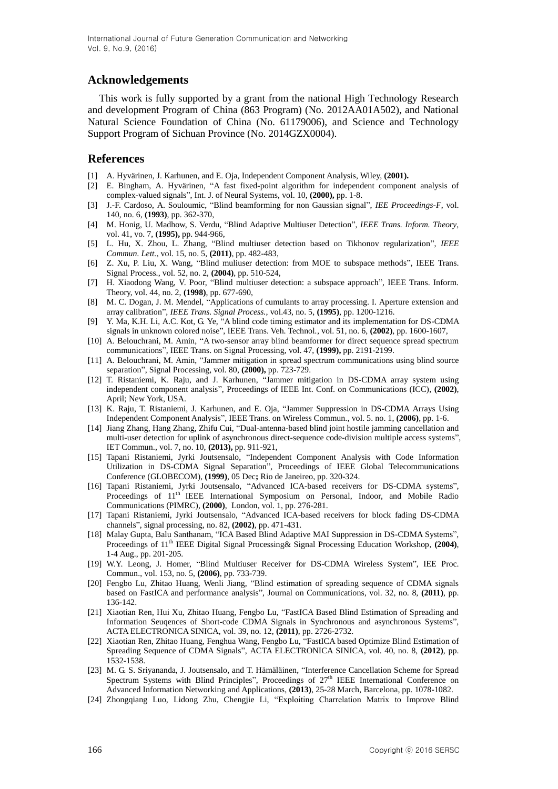## **Acknowledgements**

This work is fully supported by a grant from the national High Technology Research and development Program of China (863 Program) (No. 2012AA01A502), and National Natural Science Foundation of China (No. 61179006), and Science and Technology Support Program of Sichuan Province (No. 2014GZX0004).

# **References**

- [1] A. Hyvärinen, J. Karhunen, and E. Oja, Independent Component Analysis, Wiley, **(2001).**
- [2] E. Bingham, A. Hyvärinen, "A fast fixed-point algorithm for independent component analysis of complex-valued signals", Int. J. of Neural Systems, vol. 10, **(2000),** pp. 1-8.
- [3] J.-F. Cardoso, A. Souloumic, "Blind beamforming for non Gaussian signal", *IEE Proceedings-F*, vol. 140, no. 6, **(1993)**, pp. 362-370,
- [4] M. Honig, U. Madhow, S. Verdu, "Blind Adaptive Multiuser Detection", *IEEE Trans. Inform. Theory*, vol. 41, vo. 7, **(1995),** pp. 944-966,
- [5] L. Hu, X. Zhou, L. Zhang, "Blind multiuser detection based on Tikhonov regularization", *IEEE Commun. Lett.*, vol. 15, no. 5, **(2011)**, pp. 482-483,
- [6] Z. Xu, P. Liu, X. Wang, "Blind muliuser detection: from MOE to subspace methods", IEEE Trans. Signal Process., vol. 52, no. 2, **(2004)**, pp. 510-524,
- [7] H. Xiaodong Wang, V. Poor, "Blind multiuser detection: a subspace approach", IEEE Trans. Inform. Theory, vol. 44, no. 2, **(1998)**, pp. 677-690,
- [8] M. C. Dogan, J. M. Mendel, "Applications of cumulants to array processing. I. Aperture extension and array calibration", *IEEE Trans. Signal Process.*, vol.43, no. 5, **(1995)**, pp. 1200-1216.
- [9] Y. Ma, K.H. Li, A.C. Kot, G. Ye, "A blind code timing estimator and its implementation for DS-CDMA signals in unknown colored noise", IEEE Trans. Veh. Technol*.*, vol. 51, no. 6, **(2002)**, pp. 1600-1607,
- [10] A. Belouchrani, M. Amin, "A two-sensor array blind beamformer for direct sequence spread spectrum communications", IEEE Trans. on Signal Processing, vol. 47, **(1999),** pp. 2191-2199.
- [11] A. Belouchrani, M. Amin, "Jammer mitigation in spread spectrum communications using blind source separation", Signal Processing, vol. 80, **(2000),** pp. 723-729.
- [12] T. Ristaniemi, K. Raju, and J. Karhunen, "Jammer mitigation in DS-CDMA array system using independent component analysis", Proceedings of IEEE Int. Conf. on Communications (ICC), **(2002)**, April; New York, USA.
- [13] K. Raju, T. Ristaniemi, J. Karhunen, and E. Oja, "Jammer Suppression in DS-CDMA Arrays Using Independent Component Analysis", IEEE Trans. on Wireless Commun., vol. 5. no. 1, **(2006)**, pp. 1-6.
- [14] Jiang Zhang, Hang Zhang, Zhifu Cui, "Dual-antenna-based blind joint hostile jamming cancellation and multi-user detection for uplink of asynchronous direct-sequence code-division multiple access systems", IET Commun., vol. 7, no. 10, **(2013),** pp. 911-921,
- [15] Tapani Ristaniemi, Jyrki Joutsensalo, "Independent Component Analysis with Code Information Utilization in DS-CDMA Signal Separation", Proceedings of IEEE Global Telecommunications Conference (GLOBECOM), **(1999)**, 05 Dec**;** Rio de Janeireo, pp. 320-324.
- [16] Tapani Ristaniemi, Jyrki Joutsensalo, "Advanced ICA-based receivers for DS-CDMA systems", Proceedings of  $11<sup>th</sup>$  IEEE International Symposium on Personal, Indoor, and Mobile Radio Communications (PIMRC), **(2000)**, London, vol. 1, pp. 276-281.
- [17] Tapani Ristaniemi, Jyrki Joutsensalo, "Advanced ICA-based receivers for block fading DS-CDMA channels", signal processing, no. 82, **(2002)**, pp. 471-431.
- [18] Malay Gupta, Balu Santhanam, "ICA Based Blind Adaptive MAI Suppression in DS-CDMA Systems", Proceedings of 11<sup>th</sup> IEEE Digital Signal Processing& Signal Processing Education Workshop, (2004), 1-4 Aug., pp. 201-205.
- [19] W.Y. Leong, J. Homer, "Blind Multiuser Receiver for DS-CDMA Wireless System", IEE Proc. Commun., vol. 153, no. 5, **(2006)**, pp. 733-739.
- [20] Fengbo Lu, Zhitao Huang, Wenli Jiang, "Blind estimation of spreading sequence of CDMA signals based on FastICA and performance analysis", Journal on Communications, vol. 32, no. 8, **(2011)**, pp. 136-142.
- [21] Xiaotian Ren, Hui Xu, Zhitao Huang, Fengbo Lu, "FastICA Based Blind Estimation of Spreading and Information Seuqences of Short-code CDMA Signals in Synchronous and asynchronous Systems", ACTA ELECTRONICA SINICA, vol. 39, no. 12, **(2011)**, pp. 2726-2732.
- [22] Xiaotian Ren, Zhitao Huang, Fenghua Wang, Fengbo Lu, "FastICA based Optimize Blind Estimation of Spreading Sequence of CDMA Signals", ACTA ELECTRONICA SINICA, vol. 40, no. 8, **(2012)**, pp. 1532-1538.
- [23] M. G. S. Sriyananda, J. Joutsensalo, and T. Hämäläinen, "Interference Cancellation Scheme for Spread Spectrum Systems with Blind Principles", Proceedings of  $27<sup>th</sup>$  IEEE International Conference on Advanced Information Networking and Applications, **(2013)**, 25-28 March, Barcelona, pp. 1078-1082.
- [24] Zhongqiang Luo, Lidong Zhu, Chengjie Li, "Exploiting Charrelation Matrix to Improve Blind